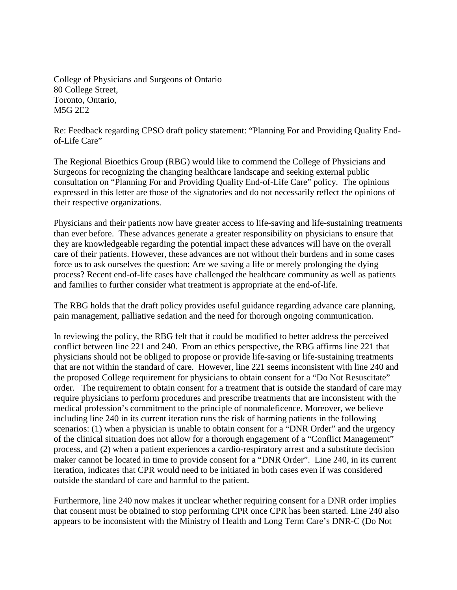College of Physicians and Surgeons of Ontario 80 College Street, Toronto, Ontario, M5G 2E2

Re: Feedback regarding CPSO draft policy statement: "Planning For and Providing Quality Endof-Life Care"

The Regional Bioethics Group (RBG) would like to commend the College of Physicians and Surgeons for recognizing the changing healthcare landscape and seeking external public consultation on "Planning For and Providing Quality End-of-Life Care" policy. The opinions expressed in this letter are those of the signatories and do not necessarily reflect the opinions of their respective organizations.

Physicians and their patients now have greater access to life-saving and life-sustaining treatments than ever before. These advances generate a greater responsibility on physicians to ensure that they are knowledgeable regarding the potential impact these advances will have on the overall care of their patients. However, these advances are not without their burdens and in some cases force us to ask ourselves the question: Are we saving a life or merely prolonging the dying process? Recent end-of-life cases have challenged the healthcare community as well as patients and families to further consider what treatment is appropriate at the end-of-life.

The RBG holds that the draft policy provides useful guidance regarding advance care planning, pain management, palliative sedation and the need for thorough ongoing communication.

In reviewing the policy, the RBG felt that it could be modified to better address the perceived conflict between line 221 and 240. From an ethics perspective, the RBG affirms line 221 that physicians should not be obliged to propose or provide life-saving or life-sustaining treatments that are not within the standard of care. However, line 221 seems inconsistent with line 240 and the proposed College requirement for physicians to obtain consent for a "Do Not Resuscitate" order. The requirement to obtain consent for a treatment that is outside the standard of care may require physicians to perform procedures and prescribe treatments that are inconsistent with the medical profession's commitment to the principle of nonmaleficence. Moreover, we believe including line 240 in its current iteration runs the risk of harming patients in the following scenarios: (1) when a physician is unable to obtain consent for a "DNR Order" and the urgency of the clinical situation does not allow for a thorough engagement of a "Conflict Management" process, and (2) when a patient experiences a cardio-respiratory arrest and a substitute decision maker cannot be located in time to provide consent for a "DNR Order". Line 240, in its current iteration, indicates that CPR would need to be initiated in both cases even if was considered outside the standard of care and harmful to the patient.

Furthermore, line 240 now makes it unclear whether requiring consent for a DNR order implies that consent must be obtained to stop performing CPR once CPR has been started. Line 240 also appears to be inconsistent with the Ministry of Health and Long Term Care's DNR-C (Do Not